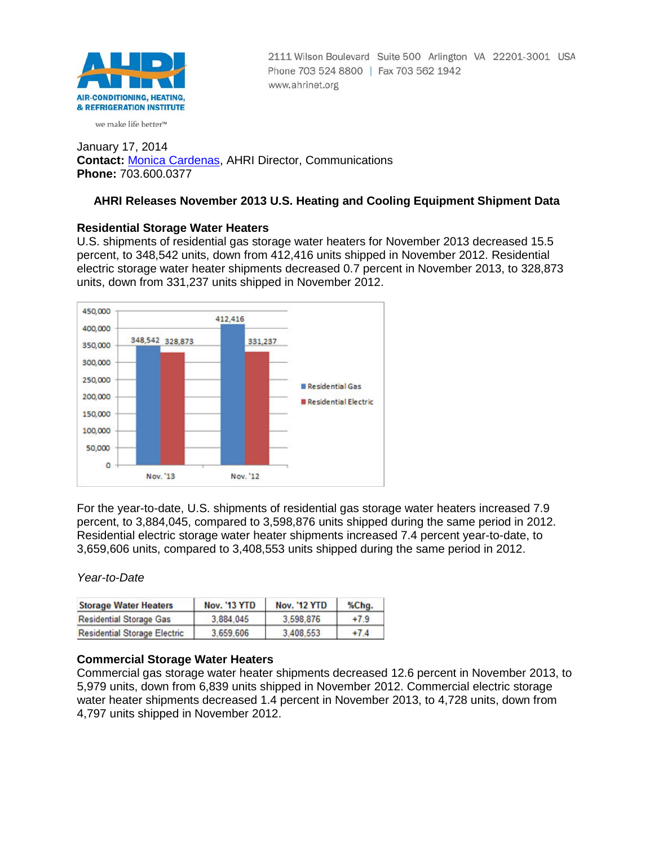

2111 Wilson Boulevard Suite 500 Arlington VA 22201-3001 USA Phone 703 524 8800 | Fax 703 562 1942 www.ahrinet.org

#### we make life better<sup>™</sup>

January 17, 2014 **Contact:** [Monica Cardenas,](mailto:mcardenas@ahrinet.org) AHRI Director, Communications **Phone:** 703.600.0377

# **AHRI Releases November 2013 U.S. Heating and Cooling Equipment Shipment Data**

## **Residential Storage Water Heaters**

U.S. shipments of residential gas storage water heaters for November 2013 decreased 15.5 percent, to 348,542 units, down from 412,416 units shipped in November 2012. Residential electric storage water heater shipments decreased 0.7 percent in November 2013, to 328,873 units, down from 331,237 units shipped in November 2012.



For the year-to-date, U.S. shipments of residential gas storage water heaters increased 7.9 percent, to 3,884,045, compared to 3,598,876 units shipped during the same period in 2012. Residential electric storage water heater shipments increased 7.4 percent year-to-date, to 3,659,606 units, compared to 3,408,553 units shipped during the same period in 2012.

### *Year-to-Date*

| <b>Storage Water Heaters</b>        | <b>Nov. '13 YTD</b> | <b>Nov. '12 YTD</b> | %Chg.  |
|-------------------------------------|---------------------|---------------------|--------|
| <b>Residential Storage Gas</b>      | 3.884.045           | 3.598.876           | $+7.9$ |
| <b>Residential Storage Electric</b> | 3.659.606           | 3.408.553           | $+7.4$ |

### **Commercial Storage Water Heaters**

Commercial gas storage water heater shipments decreased 12.6 percent in November 2013, to 5,979 units, down from 6,839 units shipped in November 2012. Commercial electric storage water heater shipments decreased 1.4 percent in November 2013, to 4,728 units, down from 4,797 units shipped in November 2012.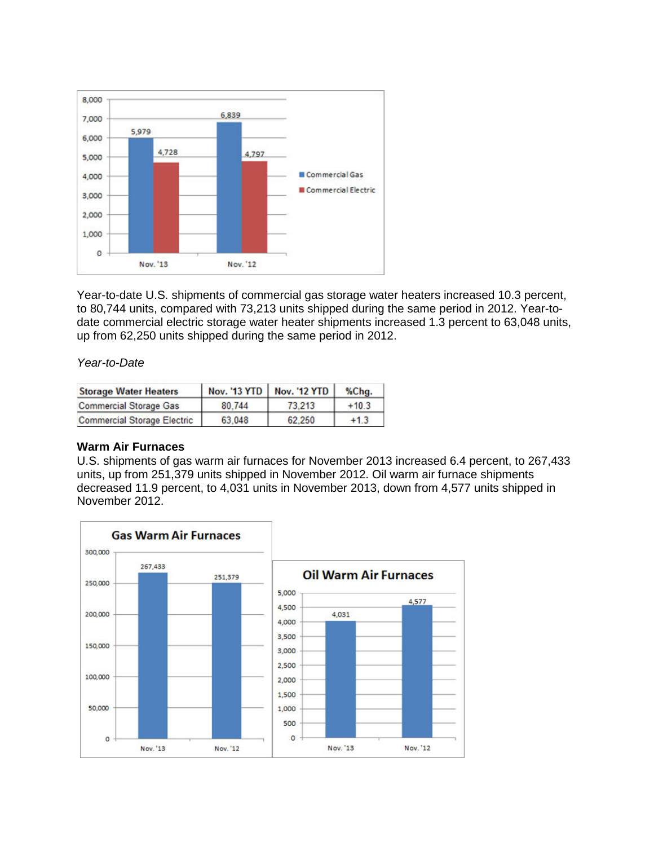

Year-to-date U.S. shipments of commercial gas storage water heaters increased 10.3 percent, to 80,744 units, compared with 73,213 units shipped during the same period in 2012. Year-todate commercial electric storage water heater shipments increased 1.3 percent to 63,048 units, up from 62,250 units shipped during the same period in 2012.

### *Year-to-Date*

| <b>Storage Water Heaters</b>       |        | Nov. '13 YTD   Nov. '12 YTD | %Chg.   |
|------------------------------------|--------|-----------------------------|---------|
| <b>Commercial Storage Gas</b>      | 80.744 | 73.213                      | $+10.3$ |
| <b>Commercial Storage Electric</b> | 63,048 | 62.250                      | $+1.3$  |

### **Warm Air Furnaces**

U.S. shipments of gas warm air furnaces for November 2013 increased 6.4 percent, to 267,433 units, up from 251,379 units shipped in November 2012. Oil warm air furnace shipments decreased 11.9 percent, to 4,031 units in November 2013, down from 4,577 units shipped in November 2012.

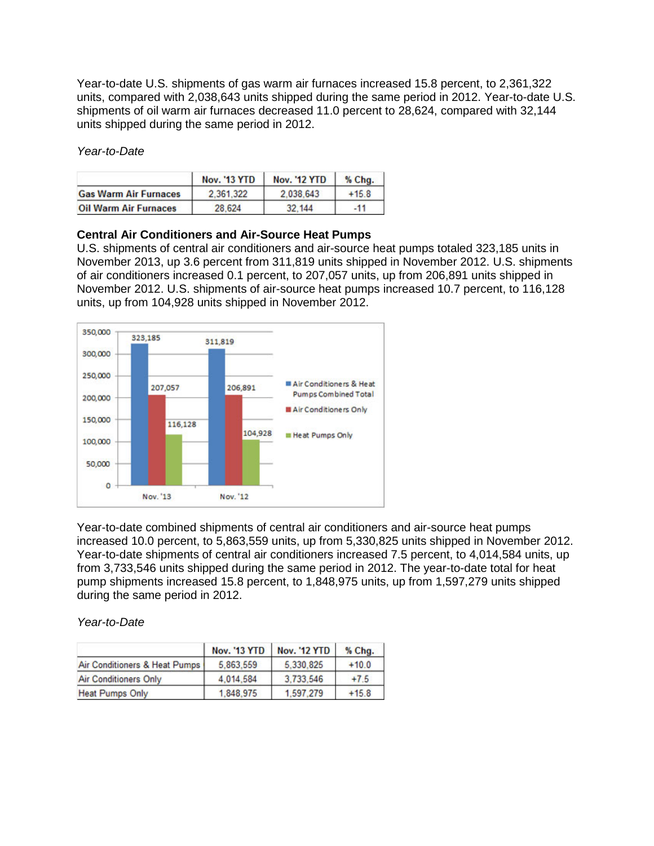Year-to-date U.S. shipments of gas warm air furnaces increased 15.8 percent, to 2,361,322 units, compared with 2,038,643 units shipped during the same period in 2012. Year-to-date U.S. shipments of oil warm air furnaces decreased 11.0 percent to 28,624, compared with 32,144 units shipped during the same period in 2012.

*Year-to-Date*

|                              | <b>Nov. '13 YTD</b> | <b>Nov. '12 YTD</b> | $%$ Chq. |
|------------------------------|---------------------|---------------------|----------|
| <b>Gas Warm Air Furnaces</b> | 2.361.322           | 2.038.643           | $+15.8$  |
| <b>Oil Warm Air Furnaces</b> | 28.624              | 32.144              | $-11$    |

### **Central Air Conditioners and Air-Source Heat Pumps**

U.S. shipments of central air conditioners and air-source heat pumps totaled 323,185 units in November 2013, up 3.6 percent from 311,819 units shipped in November 2012. U.S. shipments of air conditioners increased 0.1 percent, to 207,057 units, up from 206,891 units shipped in November 2012. U.S. shipments of air-source heat pumps increased 10.7 percent, to 116,128 units, up from 104,928 units shipped in November 2012.



Year-to-date combined shipments of central air conditioners and air-source heat pumps increased 10.0 percent, to 5,863,559 units, up from 5,330,825 units shipped in November 2012. Year-to-date shipments of central air conditioners increased 7.5 percent, to 4,014,584 units, up from 3,733,546 units shipped during the same period in 2012. The year-to-date total for heat pump shipments increased 15.8 percent, to 1,848,975 units, up from 1,597,279 units shipped during the same period in 2012.

*Year-to-Date*

|                               | <b>Nov. '13 YTD</b> | <b>Nov. '12 YTD</b> | % Chg.  |
|-------------------------------|---------------------|---------------------|---------|
| Air Conditioners & Heat Pumps | 5.863.559           | 5.330.825           | $+10.0$ |
| <b>Air Conditioners Only</b>  | 4,014,584           | 3.733.546           | $+7.5$  |
| <b>Heat Pumps Only</b>        | 1,848,975           | 1,597,279           | $+15.8$ |